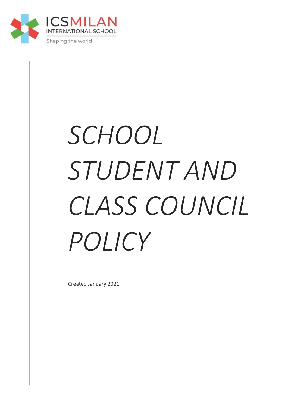

# *SCHOOL STUDENT AND CLASS COUNCIL POLICY*

Created January 2021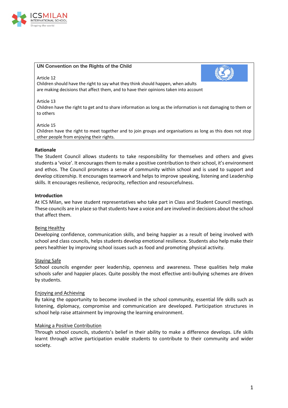

## **UN Convention on the Rights of the Child**

#### Article 12

Children should have the right to say what they think should happen, when adults are making decisions that affect them, and to have their opinions taken into account

#### Article 13

Children have the right to get and to share information as long as the information is not damaging to them or to others

#### Article 15

Children have the right to meet together and to join groups and organisations as long as this does not stop other people from enjoying their rights.

#### **Rationale**

The Student Council allows students to take responsibility for themselves and others and gives students a 'voice'. It encourages them to make a positive contribution to their school, it's environment and ethos. The Council promotes a sense of community within school and is used to support and develop citizenship. It encourages teamwork and helps to improve speaking, listening and Leadership skills. It encourages resilience, reciprocity, reflection and resourcefulness.

#### **Introduction**

At ICS Milan, we have student representatives who take part in Class and Student Council meetings. These councils are in place so that students have a voice and are involved in decisions about the school that affect them.

## Being Healthy

Developing confidence, communication skills, and being happier as a result of being involved with school and class councils, helps students develop emotional resilience. Students also help make their peers healthier by improving school issues such as food and promoting physical activity.

#### Staying Safe

School councils engender peer leadership, openness and awareness. These qualities help make schools safer and happier places. Quite possibly the most effective anti-bullying schemes are driven by students.

## Enjoying and Achieving

By taking the opportunity to become involved in the school community, essential life skills such as listening, diplomacy, compromise and communication are developed. Participation structures in school help raise attainment by improving the learning environment.

## Making a Positive Contribution

Through school councils, students's belief in their ability to make a difference develops. Life skills learnt through active participation enable students to contribute to their community and wider society.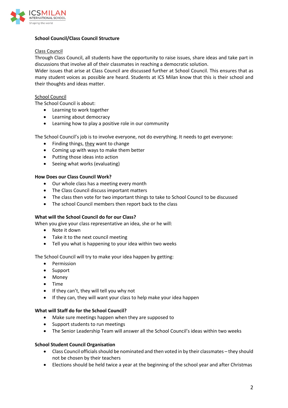

# **School Council/Class Council Structure**

# Class Council

Through Class Council, all students have the opportunity to raise issues, share ideas and take part in discussions that involve all of their classmates in reaching a democratic solution.

Wider issues that arise at Class Council are discussed further at School Council. This ensures that as many student voices as possible are heard. Students at ICS Milan know that this is their school and their thoughts and ideas matter.

# School Council

The School Council is about:

- Learning to work together
- Learning about democracy
- Learning how to play a positive role in our community

The School Council's job is to involve everyone, not do everything. It needs to get everyone:

- Finding things, they want to change
- Coming up with ways to make them better
- Putting those ideas into action
- Seeing what works (evaluating)

## **How Does our Class Council Work?**

- Our whole class has a meeting every month
- The Class Council discuss important matters
- The class then vote for two important things to take to School Council to be discussed
- The school Council members then report back to the class

## **What will the School Council do for our Class?**

When you give your class representative an idea, she or he will:

- Note it down
- Take it to the next council meeting
- Tell you what is happening to your idea within two weeks

The School Council will try to make your idea happen by getting:

- Permission
- Support
- Money
- Time
- If they can't, they will tell you why not
- If they can, they will want your class to help make your idea happen

## **What will Staff do for the School Council?**

- Make sure meetings happen when they are supposed to
- Support students to run meetings
- The Senior Leadership Team will answer all the School Council's ideas within two weeks

# **School Student Council Organisation**

- Class Council officials should be nominated and then voted in by their classmates they should not be chosen by their teachers
- Elections should be held twice a year at the beginning of the school year and after Christmas